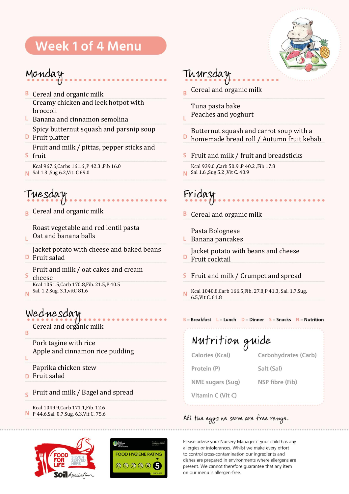# **Week 1 of 4 Menu**



#### Monday

- **B** Cereal and organic milk Creamy chicken and leek hotpot with broccoli
- $\overline{L}$  Banana and cinnamon semolina Spicy butternut squash and parsnip soup
- **D** Fruit platter Fruit and milk / pittas, pepper sticks and
- $\mathsf{S}$ fruit Kcal 967.6,Carbs 161.6 ,P 42.3 ,Fib 16.0
- **N** Sal 1.3 , Sug 6.2, Vit. C 69.0

Tuesday

Cereal and organic milk

Roast vegetable and red lentil pasta Oat and banana balls

Jacket potato with cheese and baked beans

- **D** Fruit salad
- Fruit and milk / oat cakes and cream

 $\overline{\mathsf{S}}$ cheese Kcal 1051.5,Carb 170.8,Fib. 21.5,P 40.5

Sal. 1.2,Sug. 3.1,vitC 81.6 Ñ

### Wednesday

Cereal and organic milk

B

Ĺ

ï.

Pork tagine with rice Apple and cinnamon rice pudding

Paprika chicken stew

- **D** Fruit salad
- Fruit and milk / Bagel and spread  $\leq$
- Kcal 1049.9,Carb 171.1,Fib. 12.6 P 44.6,Sal. 0.7,Sug. 6.3,Vit C. 75.6





### Thursday

Cereal and organic milk  $\overline{B}$ 

Tuna pasta bake Peaches and yoghurt

Butternut squash and carrot soup with a D homemade bread roll / Autumn fruit kebab

- Fruit and milk / fruit and breadsticks s
- Kcal 939.0 ,Carb 50.9 ,P 40.2 ,Fib 17.8 Sal 1.6 ,Sug 5.2 ,Vit C. 40.9

Friday

**B** Cereal and organic milk

Pasta Bolognese

 $L$  Banana pancakes

Jacket potato with beans and cheese Fruit cocktail

S Fruit and milk / Crumpet and spread

Kcal 1040.8,Carb 166.5,Fib. 27.8,P 41.3, Sal. 1.7,Sug. N 6.5,Vit C. 61.8

B-Breakfast L-Lunch D-Dinner S-Snacks N-Nutrition

Nutrition guide Calories (Kcal) Carbohydrates (Carb) Protein (P) Salt (Sal) NME sugars (Sug) NSP fibre (Fib)

Vitamin C (Vit C)

#### All the eggs we serve are free range.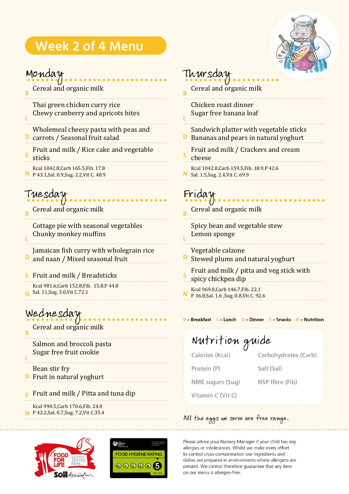# **Week 2 of 4 Menu**



#### Monday

Cereal and organic milk B

Thai green chicken curry rice Chewy cranberry and apricots bites Ĺ

Wholemeal cheesy pasta with peas and **D** carrots / Seasonal fruit salad

- Fruit and milk / Rice cake and vegetable sticks
- Kcal 1042.8,Carb 165.5,Fib. 17.8 P 43.1,Sal. 0.9,Sug. 2.2,Vit C. 48.9

# Tuesday

Ĺ

Ľ

Cereal and organic milk

Cottage pie with seasonal vegetables Chunky monkey muffins

Jamaican fish curry with wholegrain rice D and naan / Mixed seasonal fruit

Fruit and milk / Breadsticks s

Kcal 981.6,Carb 152.8,Fib. 15.8,P 44.8 Sal. 11,Sug. 3.0,Vit C.72.1

### Wednesday

Cereal and organic milk B

Salmon and broccoli pasta Sugar free fruit cookie

Bean stir fry **D** Fruit in natural yoghurt

**S** Fruit and milk / Pitta and tuna dip

Kcal 990.5,Carb 170.6,Fib. 24.0 P 42.2,Sal. 0.7,Sug. 7.2,Vit C.35.4





#### Thursday

Cereal and organic milk Ŕ

Chicken roast dinner Sugar free banana loaf

Sandwich platter with vegetable sticks

Bananas and pears in natural yoghurt

Fruit and milk / Crackers and cream cheese

Kcal 1042.0,Carb 159.5,Fib. 18.9,P 42.6 N Sal. 1.5,Sug. 2.4,Vit C. 69.9

Friday

ī.

Cereal and organic milk

Spicy bean and vegetable stew Lemon sponge

Vegetable calzone

- D Stewed plums and natural yoghurt
- Fruit and milk / pitta and veg stick with spicy chickpea dip
- Kcal 969.0,Carb 146.7,Fib. 22.1 P 36.8,Sal. 1.6 ,Sug. 0.8,Vit C. 92.6

B - Breakfast L - Lunch D - Dinner S - Snacks N - Nutrition

Nutrition guide Calories (Kcal) Carbohydrates (Carb) Protein (P) Salt (Sal) NME sugars (Sug) NSP fibre (Fib)

Vitamin C (Vit C)

#### All the eggs we serve are free range.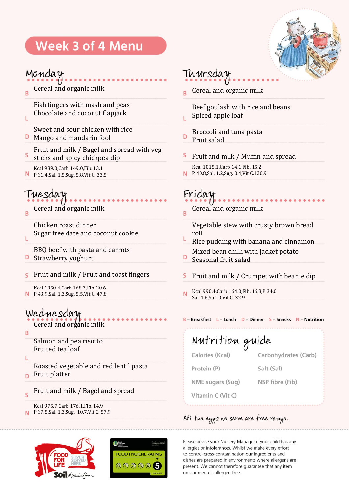# Week 3 of 4 Menu



#### Monday

Ĺ

Cereal and organic milk B

> Fish fingers with mash and peas Chocolate and coconut flapjack

- Sweet and sour chicken with rice
- **D** Mango and mandarin fool
- Fruit and milk / Bagel and spread with veg
- S sticks and spicy chickpea dip
- Kcal 989.0,Carb 149.0,Fib. 13.1 N P 31.4,Sal. 1.5,Sug. 5.8,Vit C. 33.5

#### Tuesday

Cereal and organic milk R

> Chicken roast dinner Sugar free date and coconut cookie

BBQ beef with pasta and carrots

- Strawberry yoghurt D
- Fruit and milk / Fruit and toast fingers S

Kcal 1050.4,Carb 168.3,Fib. 20.6 P 43.9,Sal. 1.3,Sug. 5.5,Vit C. 47.8

#### Wednesday

Cereal and organic milk

B

Ĺ

Salmon and pea risotto Fruited tea loaf

Ĺ

Roasted vegetable and red lentil pasta

- Fruit platter Ď
- Fruit and milk / Bagel and spread  $\overline{\mathsf{S}}$

Kcal 975.7,Carb 176.1,Fib. 14.9 P 37.5,Sal. 1.3,Sug. 10.7,Vit C. 57.9





#### Thursday

Cereal and organic milk

Beef goulash with rice and beans Spiced apple loaf

- Broccoli and tuna pasta D Fruit salad
- S Fruit and milk / Muffin and spread
- Kcal 1015.1,Carb 14.1,Fib. 15.2 P 40.8,Sal. 1.2,Sug. 0.4,Vit C.120.9

### Friday

Cereal and organic milk Ŕ

Vegetable stew with crusty brown bread roll

- Rice pudding with banana and cinnamon Mixed bean chilli with jacket potato
- Seasonal fruit salad
- S Fruit and milk / Crumpet with beanie dip
- Kcal 990.4,Carb 164.0,Fib. 16.8,P 34.0 N Sal. 1.6,Su1.0,Vit C. 32.9

#### B-Breakfast L-Lunch D-Dinner S-Snacks N-Nutrition

Nutrition guide Calories (Kcal) Carbohydrates (Carb) Protein (P) Salt (Sal) NME sugars (Sug) NSP fibre (Fib) Vitamin C (Vit C)

#### All the eggs we serve are free range.